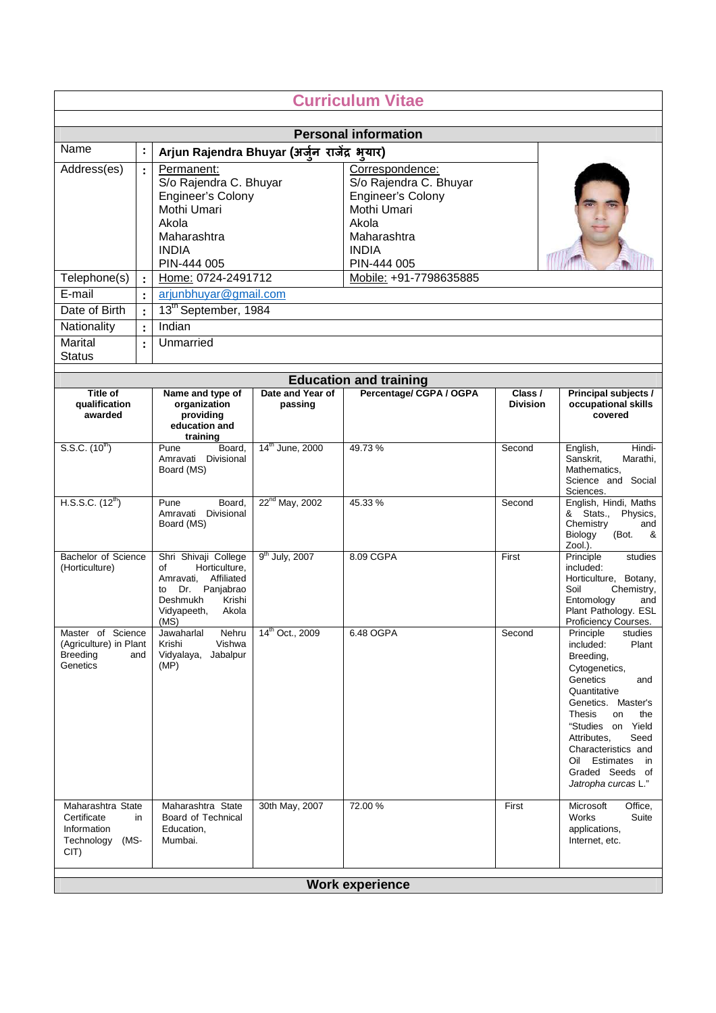|                                                                               | <b>Curriculum Vitae</b> |                                                                                                                                                  |                             |                                                                                                                       |                            |                                                                                                                                                                                                                                                                                                     |  |  |
|-------------------------------------------------------------------------------|-------------------------|--------------------------------------------------------------------------------------------------------------------------------------------------|-----------------------------|-----------------------------------------------------------------------------------------------------------------------|----------------------------|-----------------------------------------------------------------------------------------------------------------------------------------------------------------------------------------------------------------------------------------------------------------------------------------------------|--|--|
|                                                                               |                         |                                                                                                                                                  |                             |                                                                                                                       |                            |                                                                                                                                                                                                                                                                                                     |  |  |
|                                                                               |                         |                                                                                                                                                  |                             | <b>Personal information</b>                                                                                           |                            |                                                                                                                                                                                                                                                                                                     |  |  |
| Name                                                                          | $\ddot{\cdot}$          | Arjun Rajendra Bhuyar (अर्जुन राजेंद्र भयार)                                                                                                     |                             |                                                                                                                       |                            |                                                                                                                                                                                                                                                                                                     |  |  |
| Address(es)                                                                   | $\ddot{\cdot}$          | Permanent:<br>S/o Rajendra C. Bhuyar<br>Engineer's Colony<br>Mothi Umari<br>Akola<br>Maharashtra<br><b>INDIA</b>                                 |                             | Correspondence:<br>S/o Rajendra C. Bhuyar<br>Engineer's Colony<br>Mothi Umari<br>Akola<br>Maharashtra<br><b>INDIA</b> |                            |                                                                                                                                                                                                                                                                                                     |  |  |
|                                                                               |                         | PIN-444 005                                                                                                                                      |                             | PIN-444 005                                                                                                           |                            |                                                                                                                                                                                                                                                                                                     |  |  |
| Telephone(s)                                                                  |                         | Home: 0724-2491712                                                                                                                               |                             | Mobile: +91-7798635885                                                                                                |                            |                                                                                                                                                                                                                                                                                                     |  |  |
| E-mail                                                                        |                         | arjunbhuyar@gmail.com                                                                                                                            |                             |                                                                                                                       |                            |                                                                                                                                                                                                                                                                                                     |  |  |
| Date of Birth                                                                 | $\mathbf{.}$            | 13 <sup>th</sup> September, 1984                                                                                                                 |                             |                                                                                                                       |                            |                                                                                                                                                                                                                                                                                                     |  |  |
| Nationality                                                                   | $\ddot{\cdot}$          | Indian                                                                                                                                           |                             |                                                                                                                       |                            |                                                                                                                                                                                                                                                                                                     |  |  |
| Marital<br><b>Status</b>                                                      | $\ddot{\cdot}$          | Unmarried                                                                                                                                        |                             |                                                                                                                       |                            |                                                                                                                                                                                                                                                                                                     |  |  |
|                                                                               |                         |                                                                                                                                                  |                             | <b>Education and training</b>                                                                                         |                            |                                                                                                                                                                                                                                                                                                     |  |  |
| Title of<br>qualification<br>awarded                                          |                         | Name and type of<br>organization<br>providing<br>education and<br>training                                                                       | Date and Year of<br>passing | Percentage/ CGPA / OGPA                                                                                               | Class /<br><b>Division</b> | Principal subjects /<br>occupational skills<br>covered                                                                                                                                                                                                                                              |  |  |
| S.S.C. (10 <sup>th</sup> )                                                    |                         | Pune<br>Board,<br>Amravati Divisional<br>Board (MS)                                                                                              | 14 <sup>th</sup> June, 2000 | 49.73%                                                                                                                | Second                     | Hindi-<br>English,<br>Sanskrit,<br>Marathi,<br>Mathematics,<br>Science and Social<br>Sciences.                                                                                                                                                                                                      |  |  |
| H.S.S.C. $(12^{th})$                                                          |                         | Pune<br>Board,<br>Amravati Divisional<br>Board (MS)                                                                                              | $22^{nd}$ May, 2002         | 45.33 %                                                                                                               | Second                     | English, Hindi, Maths<br>& Stats.,<br>Physics,<br>Chemistry<br>and<br>Biology<br>(Bot.<br>&<br>Zool.).                                                                                                                                                                                              |  |  |
| Bachelor of Science<br>(Horticulture)                                         |                         | Shri Shivaji College<br>Horticulture,<br>οf<br>Amravati, Affiliated<br>Dr. Panjabrao<br>to<br>Krishi<br>Deshmukh<br>Vidyapeeth,<br>Akola<br>(MS) | $9th$ July, 2007            | 8.09 CGPA                                                                                                             | First                      | Principle<br>studies<br>included:<br>Horticulture, Botany,<br>Soil<br>Chemistry,<br>Entomology<br>and<br>Plant Pathology. ESL<br>Proficiency Courses.                                                                                                                                               |  |  |
| Master of Science<br>(Agriculture) in Plant<br><b>Breeding</b><br>Genetics    | and                     | Nehru<br>Jawaharlal<br>Vishwa<br>Krishi<br>Jabalpur<br>Vidyalaya,<br>(MP)                                                                        | 14 <sup>th</sup> Oct., 2009 | 6.48 OGPA                                                                                                             | Second                     | Principle<br>studies<br>Plant<br>included:<br>Breeding,<br>Cytogenetics,<br>Genetics<br>and<br>Quantitative<br>Genetics. Master's<br><b>Thesis</b><br>on<br>the<br>"Studies on Yield<br>Attributes,<br>Seed<br>Characteristics and<br>Oil Estimates<br>in<br>Graded Seeds of<br>Jatropha curcas L." |  |  |
| Maharashtra State<br>Certificate<br>Information<br>Technology<br>(MS-<br>CIT) | in                      | Maharashtra State<br>Board of Technical<br>Education,<br>Mumbai.                                                                                 | 30th May, 2007              | 72.00 %                                                                                                               | First                      | Office,<br>Microsoft<br>Works<br>Suite<br>applications,<br>Internet, etc.                                                                                                                                                                                                                           |  |  |
| <b>Work experience</b>                                                        |                         |                                                                                                                                                  |                             |                                                                                                                       |                            |                                                                                                                                                                                                                                                                                                     |  |  |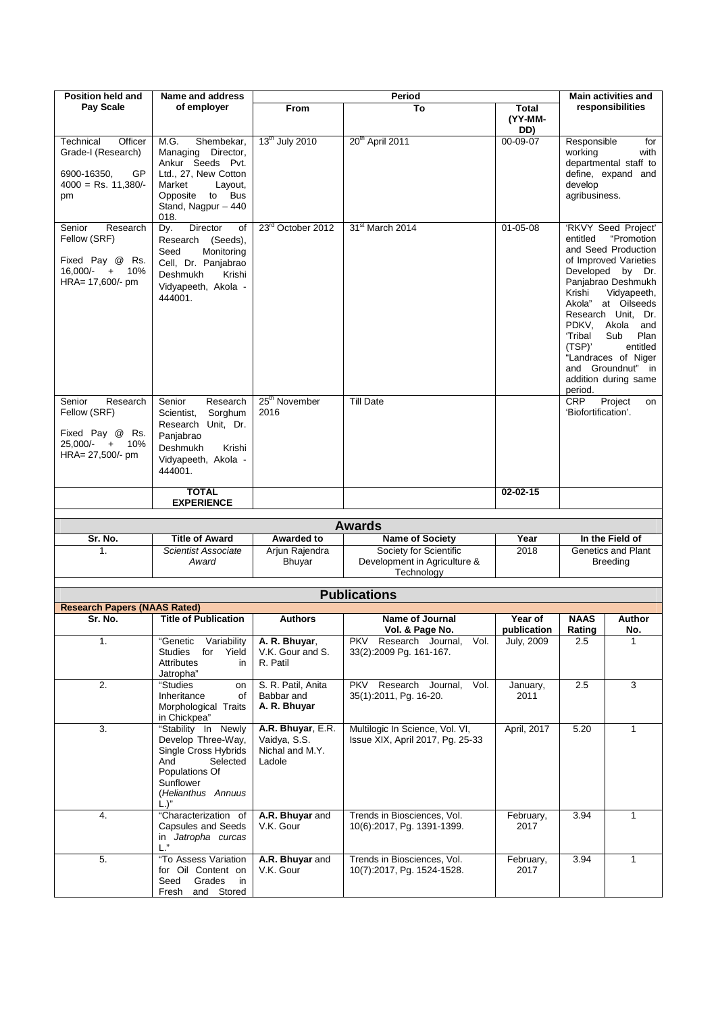| <b>Position held and</b>                                                                                                                                                                                | Name and address                                                                                                                                                                                                                                                                                    |                                                                    |                                                                                                          |                                             | <b>Main activities and</b>                                                                                            |                                                                                                                                                                                                                                                                                                   |
|---------------------------------------------------------------------------------------------------------------------------------------------------------------------------------------------------------|-----------------------------------------------------------------------------------------------------------------------------------------------------------------------------------------------------------------------------------------------------------------------------------------------------|--------------------------------------------------------------------|----------------------------------------------------------------------------------------------------------|---------------------------------------------|-----------------------------------------------------------------------------------------------------------------------|---------------------------------------------------------------------------------------------------------------------------------------------------------------------------------------------------------------------------------------------------------------------------------------------------|
| Pay Scale                                                                                                                                                                                               | of employer                                                                                                                                                                                                                                                                                         | <b>From</b>                                                        | Period<br>To                                                                                             | Total<br>(YY-MM-                            |                                                                                                                       | responsibilities                                                                                                                                                                                                                                                                                  |
|                                                                                                                                                                                                         |                                                                                                                                                                                                                                                                                                     |                                                                    |                                                                                                          | DD)                                         |                                                                                                                       |                                                                                                                                                                                                                                                                                                   |
| Officer<br>Technical<br>Grade-I (Research)<br>6900-16350,<br>GP<br>$4000 =$ Rs. 11,380/-<br>pm                                                                                                          | M.G.<br>Shembekar,<br>Managing Director,<br>Ankur Seeds Pvt.<br>Ltd., 27. New Cotton<br>Market<br>Layout,<br>Opposite<br>to Bus<br>Stand, Nagpur - 440<br>018.                                                                                                                                      | 13 <sup>th</sup> July 2010                                         | 20 <sup>th</sup> April 2011                                                                              | 00-09-07                                    | Responsible<br>working<br>develop<br>agribusiness.                                                                    | for<br>with<br>departmental staff to<br>define, expand and                                                                                                                                                                                                                                        |
| Research<br>Senior<br>Fellow (SRF)<br>Fixed Pay @ Rs.<br>16,000/-<br>$+$<br>10%<br>HRA= 17,600/- pm<br>Research<br>Senior<br>Fellow (SRF)<br>Fixed Pay @ Rs.<br>$25.000/- +$<br>10%<br>HRA= 27,500/- pm | <b>Director</b><br>of<br>Dy.<br>Research<br>(Seeds),<br>Seed<br>Monitoring<br>Cell, Dr. Panjabrao<br>Deshmukh<br>Krishi<br>Vidyapeeth, Akola -<br>444001.<br>Senior<br>Research<br>Sorghum<br>Scientist,<br>Research Unit, Dr.<br>Panjabrao<br>Deshmukh<br>Krishi<br>Vidyapeeth, Akola -<br>444001. | 23 <sup>rd</sup> October 2012<br>25 <sup>th</sup> November<br>2016 | 31 <sup>st</sup> March 2014<br><b>Till Date</b>                                                          | $01 - 05 - 08$                              | entitled<br>Krishi<br>Akola"<br>PDKV,<br>'Tribal<br>(TSP)'<br>and Groundnut"<br>period.<br>CRP<br>'Biofortification'. | 'RKVY Seed Project'<br>"Promotion<br>and Seed Production<br>of Improved Varieties<br>Developed by Dr.<br>Panjabrao Deshmukh<br>Vidyapeeth,<br>at Oilseeds<br>Research Unit, Dr.<br>Akola<br>and<br>Sub<br>Plan<br>entitled<br>"Landraces of Niger<br>in.<br>addition during same<br>Project<br>on |
|                                                                                                                                                                                                         | <b>TOTAL</b><br><b>EXPERIENCE</b>                                                                                                                                                                                                                                                                   |                                                                    |                                                                                                          | 02-02-15                                    |                                                                                                                       |                                                                                                                                                                                                                                                                                                   |
|                                                                                                                                                                                                         |                                                                                                                                                                                                                                                                                                     |                                                                    |                                                                                                          |                                             |                                                                                                                       |                                                                                                                                                                                                                                                                                                   |
|                                                                                                                                                                                                         |                                                                                                                                                                                                                                                                                                     |                                                                    | <b>Awards</b>                                                                                            |                                             |                                                                                                                       |                                                                                                                                                                                                                                                                                                   |
| Sr. No.                                                                                                                                                                                                 | <b>Title of Award</b>                                                                                                                                                                                                                                                                               | <b>Awarded to</b>                                                  | <b>Name of Society</b>                                                                                   | Year                                        |                                                                                                                       | In the Field of                                                                                                                                                                                                                                                                                   |
| 1.                                                                                                                                                                                                      | Scientist Associate<br>Award                                                                                                                                                                                                                                                                        | Arjun Rajendra<br>Bhuyar                                           | Society for Scientific<br>Development in Agriculture &<br>Technology                                     | 2018                                        |                                                                                                                       | Genetics and Plant<br><b>Breeding</b>                                                                                                                                                                                                                                                             |
|                                                                                                                                                                                                         |                                                                                                                                                                                                                                                                                                     |                                                                    | <b>Publications</b>                                                                                      |                                             |                                                                                                                       |                                                                                                                                                                                                                                                                                                   |
| <b>Research Papers (NAAS Rated)</b>                                                                                                                                                                     |                                                                                                                                                                                                                                                                                                     |                                                                    |                                                                                                          |                                             |                                                                                                                       |                                                                                                                                                                                                                                                                                                   |
| Sr. No.<br>1.                                                                                                                                                                                           | <b>Title of Publication</b><br>"Genetic<br>Variability<br>for<br>Studies<br>Yield<br><b>Attributes</b><br>in<br>Jatropha"                                                                                                                                                                           | <b>Authors</b><br>A. R. Bhuyar,<br>V.K. Gour and S.<br>R. Patil    | <b>Name of Journal</b><br>Vol. & Page No.<br>Research Journal,<br>Vol.<br>PKV<br>33(2):2009 Pg. 161-167. | Year of<br>publication<br><b>July, 2009</b> | <b>NAAS</b><br>Rating<br>2.5                                                                                          | Author<br>No.<br>1                                                                                                                                                                                                                                                                                |
| 2.                                                                                                                                                                                                      | "Studies<br>on<br>Inheritance<br>of<br>Morphological Traits<br>in Chickpea"                                                                                                                                                                                                                         | S. R. Patil, Anita<br>Babbar and<br>A. R. Bhuyar                   | Research<br>Journal,<br>PKV<br>Vol.<br>35(1):2011, Pg. 16-20.                                            | January,<br>2011                            | 2.5                                                                                                                   | 3                                                                                                                                                                                                                                                                                                 |
| 3.                                                                                                                                                                                                      | "Stability In Newly<br>Develop Three-Way,<br>Single Cross Hybrids<br>And<br>Selected<br>Populations Of<br>Sunflower<br>(Helianthus Annuus<br>$L$ .)"                                                                                                                                                | A.R. Bhuyar, E.R.<br>Vaidya, S.S.<br>Nichal and M.Y.<br>Ladole     | Multilogic In Science, Vol. VI,<br>Issue XIX, April 2017, Pq. 25-33                                      | April, 2017                                 | 5.20                                                                                                                  | $\mathbf{1}$                                                                                                                                                                                                                                                                                      |
| 4.                                                                                                                                                                                                      | "Characterization of<br><b>Capsules and Seeds</b><br>in Jatropha curcas<br>L <sup>n</sup>                                                                                                                                                                                                           | A.R. Bhuyar and<br>V.K. Gour                                       | Trends in Biosciences, Vol.<br>10(6):2017, Pg. 1391-1399.                                                | February,<br>2017                           | 3.94                                                                                                                  | $\mathbf{1}$                                                                                                                                                                                                                                                                                      |
| 5.                                                                                                                                                                                                      | "To Assess Variation<br>for Oil Content on<br>Seed<br>Grades<br>in<br>Fresh<br>and Stored                                                                                                                                                                                                           | A.R. Bhuyar and<br>V.K. Gour                                       | Trends in Biosciences, Vol.<br>10(7):2017, Pg. 1524-1528.                                                | February,<br>2017                           | 3.94                                                                                                                  | $\mathbf{1}$                                                                                                                                                                                                                                                                                      |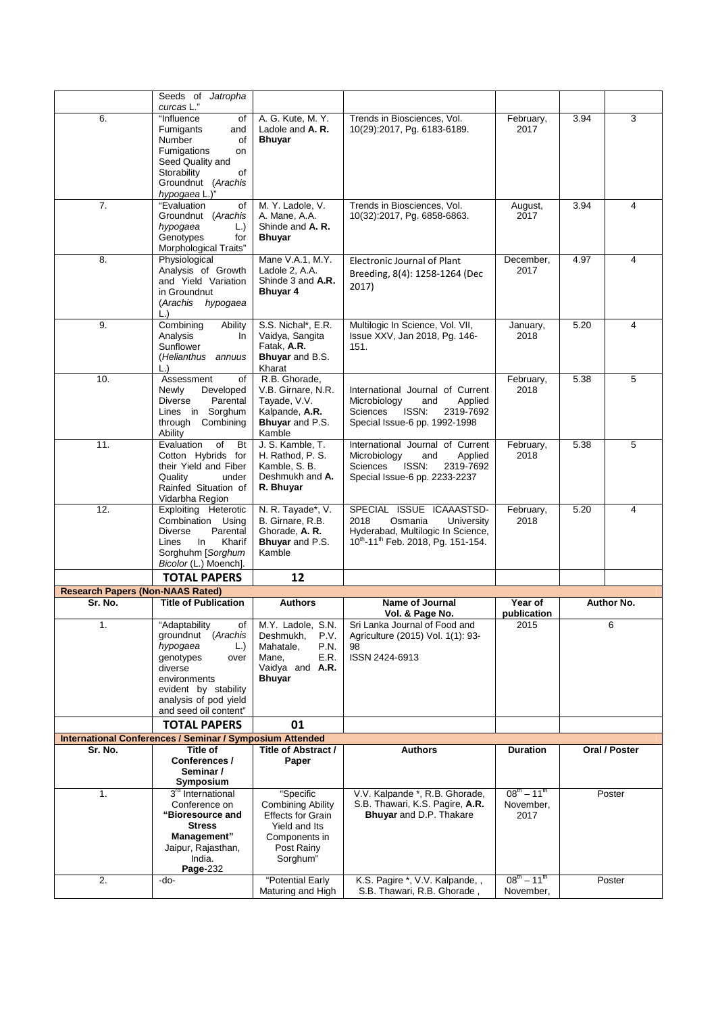|                                         | Seeds of Jatropha<br>curcas L."                                 |                                         |                                                                         |                                                |      |               |
|-----------------------------------------|-----------------------------------------------------------------|-----------------------------------------|-------------------------------------------------------------------------|------------------------------------------------|------|---------------|
| 6.                                      | "Influence<br>οf                                                | A. G. Kute, M. Y.                       | Trends in Biosciences, Vol.                                             | February,                                      | 3.94 | 3             |
|                                         | <b>Fumigants</b><br>and                                         | Ladole and A. R.                        | 10(29):2017, Pg. 6183-6189.                                             | 2017                                           |      |               |
|                                         | Number<br>οf                                                    | <b>Bhuyar</b>                           |                                                                         |                                                |      |               |
|                                         | Fumigations<br>on                                               |                                         |                                                                         |                                                |      |               |
|                                         | Seed Quality and                                                |                                         |                                                                         |                                                |      |               |
|                                         | Storability<br>of<br>Groundnut (Arachis                         |                                         |                                                                         |                                                |      |               |
|                                         | hypogaea L.)"                                                   |                                         |                                                                         |                                                |      |               |
| 7.                                      | "Evaluation<br>οf                                               | M. Y. Ladole, V.                        | Trends in Biosciences, Vol.                                             | August,                                        | 3.94 | 4             |
|                                         | Groundnut (Arachis                                              | A. Mane, A.A.                           | 10(32):2017, Pg. 6858-6863.                                             | 2017                                           |      |               |
|                                         | hypogaea<br>L.)                                                 | Shinde and A. R.                        |                                                                         |                                                |      |               |
|                                         | Genotypes<br>for                                                | <b>Bhuyar</b>                           |                                                                         |                                                |      |               |
| 8.                                      | Morphological Traits"<br>Physiological                          | Mane V.A.1, M.Y.                        | Electronic Journal of Plant                                             | December,                                      | 4.97 | 4             |
|                                         | Analysis of Growth                                              | Ladole 2, A.A.                          |                                                                         | 2017                                           |      |               |
|                                         | and Yield Variation                                             | Shinde 3 and A.R.                       | Breeding, 8(4): 1258-1264 (Dec                                          |                                                |      |               |
|                                         | in Groundnut                                                    | Bhuyar 4                                | 2017)                                                                   |                                                |      |               |
|                                         | (Arachis hypogaea                                               |                                         |                                                                         |                                                |      |               |
| 9.                                      | $\lfloor . \rfloor$<br>Combining<br>Ability                     | S.S. Nichal*, E.R.                      | Multilogic In Science, Vol. VII,                                        |                                                | 5.20 | 4             |
|                                         | Analysis<br>In.                                                 | Vaidya, Sangita                         | Issue XXV, Jan 2018, Pg. 146-                                           | January,<br>2018                               |      |               |
|                                         | Sunflower                                                       | Fatak, A.R.                             | 151.                                                                    |                                                |      |               |
|                                         | (Helianthus annuus                                              | Bhuyar and B.S.                         |                                                                         |                                                |      |               |
|                                         | $\lfloor . \rfloor$                                             | Kharat                                  |                                                                         |                                                |      |               |
| 10.                                     | Assessment<br>of                                                | R.B. Ghorade,                           |                                                                         | February,                                      | 5.38 | 5             |
|                                         | Developed<br>Newly<br>Parental<br>Diverse                       | V.B. Girnare, N.R.<br>Tayade, V.V.      | International Journal of Current<br>Microbiology<br>Applied<br>and      | 2018                                           |      |               |
|                                         | Lines in Sorghum                                                | Kalpande, A.R.                          | Sciences<br>ISSN:<br>2319-7692                                          |                                                |      |               |
|                                         | through<br>Combining                                            | Bhuyar and P.S.                         | Special Issue-6 pp. 1992-1998                                           |                                                |      |               |
|                                         | Ability                                                         | Kamble                                  |                                                                         |                                                |      |               |
| 11.                                     | Evaluation<br><b>Bt</b><br>of                                   | J. S. Kamble, T.                        | International Journal of Current                                        | February,                                      | 5.38 | 5             |
|                                         | Cotton Hybrids for<br>their Yield and Fiber                     | H. Rathod, P. S.<br>Kamble, S. B.       | Microbiology<br>and<br>Applied<br><b>Sciences</b><br>ISSN:<br>2319-7692 | 2018                                           |      |               |
|                                         | Quality<br>under                                                | Deshmukh and A.                         | Special Issue-6 pp. 2233-2237                                           |                                                |      |               |
|                                         | Rainfed Situation of                                            | R. Bhuyar                               |                                                                         |                                                |      |               |
|                                         | Vidarbha Region                                                 |                                         |                                                                         |                                                |      |               |
| 12.                                     | Exploiting Heterotic                                            | N. R. Tayade*, V.                       | SPECIAL ISSUE ICAAASTSD-                                                | February,                                      | 5.20 | 4             |
|                                         | Combination Using<br>Parental<br><b>Diverse</b>                 | B. Girnare, R.B.<br>Ghorade, A.R.       | 2018<br>Osmania<br>University<br>Hyderabad, Multilogic In Science,      | 2018                                           |      |               |
|                                         | In<br>Kharif<br>Lines                                           | Bhuyar and P.S.                         | 10 <sup>th</sup> -11 <sup>th</sup> Feb. 2018, Pg. 151-154.              |                                                |      |               |
|                                         | Sorghuhm [Sorghum                                               | Kamble                                  |                                                                         |                                                |      |               |
|                                         | Bicolor (L.) Moench].                                           |                                         |                                                                         |                                                |      |               |
|                                         | <b>TOTAL PAPERS</b>                                             | 12                                      |                                                                         |                                                |      |               |
| <b>Research Papers (Non-NAAS Rated)</b> |                                                                 |                                         |                                                                         |                                                |      |               |
| Sr. No.                                 | <b>Title of Publication</b>                                     | <b>Authors</b>                          | <b>Name of Journal</b><br>Vol. & Page No.                               | Year of<br>publication                         |      | Author No.    |
| 1.                                      | "Adaptability<br>of                                             | M.Y. Ladole, S.N.                       | Sri Lanka Journal of Food and                                           | 2015                                           |      | 6             |
|                                         | groundnut (Arachis                                              | Deshmukh,<br>P.V.                       | Agriculture (2015) Vol. 1(1): 93-                                       |                                                |      |               |
|                                         | hypogaea<br>L.)                                                 | Mahatale,<br>P.N.                       | 98                                                                      |                                                |      |               |
|                                         | genotypes<br>over                                               | Mane,<br>E.R.                           | ISSN 2424-6913                                                          |                                                |      |               |
|                                         | diverse<br>environments                                         | Vaidya and <b>A.R.</b><br><b>Bhuyar</b> |                                                                         |                                                |      |               |
|                                         | evident by stability                                            |                                         |                                                                         |                                                |      |               |
|                                         | analysis of pod yield                                           |                                         |                                                                         |                                                |      |               |
|                                         | and seed oil content"                                           |                                         |                                                                         |                                                |      |               |
|                                         | <b>TOTAL PAPERS</b>                                             | 01                                      |                                                                         |                                                |      |               |
| Sr. No.                                 | <b>International Conferences / Seminar / Symposium Attended</b> | Title of Abstract /                     | <b>Authors</b>                                                          | <b>Duration</b>                                |      | Oral / Poster |
|                                         |                                                                 |                                         |                                                                         |                                                |      |               |
|                                         | Title of                                                        |                                         |                                                                         |                                                |      |               |
|                                         | Conferences /<br>Seminar /                                      | Paper                                   |                                                                         |                                                |      |               |
|                                         | Symposium                                                       |                                         |                                                                         |                                                |      |               |
| 1.                                      | 3 <sup>rd</sup> International                                   | "Specific                               | V.V. Kalpande *, R.B. Ghorade,                                          | $08^{\text{th}} - 11^{\text{th}}$              |      | Poster        |
|                                         | Conference on                                                   | <b>Combining Ability</b>                | S.B. Thawari, K.S. Pagire, A.R.                                         | November,                                      |      |               |
|                                         | "Bioresource and                                                | <b>Effects for Grain</b>                | Bhuyar and D.P. Thakare                                                 | 2017                                           |      |               |
|                                         | <b>Stress</b>                                                   | Yield and Its                           |                                                                         |                                                |      |               |
|                                         | Management"<br>Jaipur, Rajasthan,                               | Components in<br>Post Rainy             |                                                                         |                                                |      |               |
|                                         | India.                                                          | Sorghum"                                |                                                                         |                                                |      |               |
|                                         | Page-232                                                        |                                         |                                                                         |                                                |      |               |
| 2.                                      | -do-                                                            | "Potential Early<br>Maturing and High   | K.S. Pagire *, V.V. Kalpande, ,<br>S.B. Thawari, R.B. Ghorade,          | $08^{\text{th}} - 11^{\text{th}}$<br>November, |      | Poster        |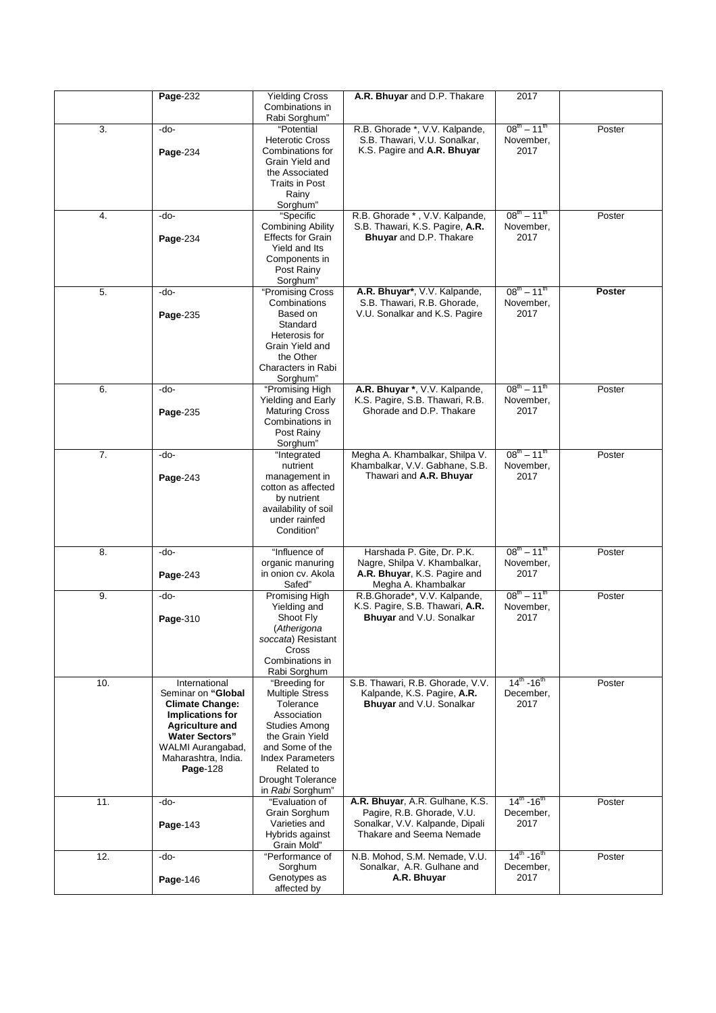|                  | Page-232                                          | <b>Yielding Cross</b>                       | A.R. Bhuyar and D.P. Thakare                                     | 2017                               |               |
|------------------|---------------------------------------------------|---------------------------------------------|------------------------------------------------------------------|------------------------------------|---------------|
|                  |                                                   | Combinations in                             |                                                                  |                                    |               |
|                  |                                                   | Rabi Sorghum"                               |                                                                  |                                    |               |
| 3.               | -do-                                              | "Potential                                  | R.B. Ghorade *, V.V. Kalpande,                                   | $08^{\text{th}} - 11^{\text{th}}$  | Poster        |
|                  |                                                   | <b>Heterotic Cross</b>                      | S.B. Thawari, V.U. Sonalkar,                                     | November,                          |               |
|                  | Page-234                                          | Combinations for                            | K.S. Pagire and A.R. Bhuyar                                      | 2017                               |               |
|                  |                                                   | Grain Yield and                             |                                                                  |                                    |               |
|                  |                                                   | the Associated                              |                                                                  |                                    |               |
|                  |                                                   | Traits in Post                              |                                                                  |                                    |               |
|                  |                                                   | Rainy                                       |                                                                  |                                    |               |
|                  |                                                   | Sorghum"                                    |                                                                  | $08^{th} - 11^{th}$                |               |
| 4.               | -do-                                              | "Specific<br><b>Combining Ability</b>       | R.B. Ghorade *, V.V. Kalpande,                                   |                                    | Poster        |
|                  |                                                   | Effects for Grain                           | S.B. Thawari, K.S. Pagire, A.R.<br>Bhuyar and D.P. Thakare       | November,<br>2017                  |               |
|                  | Page-234                                          | Yield and Its                               |                                                                  |                                    |               |
|                  |                                                   | Components in                               |                                                                  |                                    |               |
|                  |                                                   | Post Rainy                                  |                                                                  |                                    |               |
|                  |                                                   | Sorghum"                                    |                                                                  |                                    |               |
| 5.               | -do-                                              | "Promising Cross                            | A.R. Bhuyar*, V.V. Kalpande,                                     | $08^{\text{th}} - 11^{\text{th}}$  | <b>Poster</b> |
|                  |                                                   | Combinations                                | S.B. Thawari, R.B. Ghorade,                                      | November,                          |               |
|                  | Page-235                                          | Based on                                    | V.U. Sonalkar and K.S. Pagire                                    | 2017                               |               |
|                  |                                                   | Standard                                    |                                                                  |                                    |               |
|                  |                                                   | Heterosis for                               |                                                                  |                                    |               |
|                  |                                                   | Grain Yield and                             |                                                                  |                                    |               |
|                  |                                                   | the Other                                   |                                                                  |                                    |               |
|                  |                                                   | Characters in Rabi                          |                                                                  |                                    |               |
|                  |                                                   | Sorghum"                                    |                                                                  | $08^{\text{th}} - 11^{\text{th}}$  |               |
| 6.               | -do-                                              | "Promising High                             | A.R. Bhuyar *, V.V. Kalpande,<br>K.S. Pagire, S.B. Thawari, R.B. | November,                          | Poster        |
|                  |                                                   | Yielding and Early<br><b>Maturing Cross</b> | Ghorade and D.P. Thakare                                         | 2017                               |               |
|                  | Page-235                                          | Combinations in                             |                                                                  |                                    |               |
|                  |                                                   | Post Rainy                                  |                                                                  |                                    |               |
|                  |                                                   | Sorghum"                                    |                                                                  |                                    |               |
| $\overline{7}$ . | -do-                                              | "Integrated                                 | Megha A. Khambalkar, Shilpa V.                                   | $08^{\text{th}} - 11^{\text{th}}$  | Poster        |
|                  |                                                   | nutrient                                    | Khambalkar, V.V. Gabhane, S.B.                                   | November,                          |               |
|                  | Page-243                                          | management in                               | Thawari and A.R. Bhuyar                                          | 2017                               |               |
|                  |                                                   | cotton as affected                          |                                                                  |                                    |               |
|                  |                                                   | by nutrient                                 |                                                                  |                                    |               |
|                  |                                                   | availability of soil                        |                                                                  |                                    |               |
|                  |                                                   | under rainfed                               |                                                                  |                                    |               |
|                  |                                                   | Condition"                                  |                                                                  |                                    |               |
|                  |                                                   |                                             |                                                                  |                                    |               |
| 8.               | -do-                                              | "Influence of                               | Harshada P. Gite, Dr. P.K.                                       | $08^{\text{th}} - 11^{\text{th}}$  | Poster        |
|                  |                                                   | organic manuring<br>in onion cv. Akola      | Nagre, Shilpa V. Khambalkar,<br>A.R. Bhuyar, K.S. Pagire and     | November,<br>2017                  |               |
|                  | Page-243                                          | Safed"                                      | Megha A. Khambalkar                                              |                                    |               |
| 9.               | -do-                                              | <b>Promising High</b>                       | R.B.Ghorade*, V.V. Kalpande,                                     | $08^{\text{th}} - 11^{\text{th}}$  | Poster        |
|                  |                                                   | Yielding and                                | K.S. Pagire, S.B. Thawari, A.R.                                  | November,                          |               |
|                  | Page-310                                          | Shoot Fly                                   | Bhuyar and V.U. Sonalkar                                         | 2017                               |               |
|                  |                                                   | (Atherigona                                 |                                                                  |                                    |               |
|                  |                                                   | soccata) Resistant                          |                                                                  |                                    |               |
|                  |                                                   | Cross                                       |                                                                  |                                    |               |
|                  |                                                   | Combinations in                             |                                                                  |                                    |               |
|                  |                                                   | Rabi Sorghum                                |                                                                  |                                    |               |
| 10.              | International                                     | "Breeding for                               | S.B. Thawari, R.B. Ghorade, V.V.                                 | $14^{\text{th}} - 16^{\text{th}}$  | Poster        |
|                  | Seminar on "Global                                | <b>Multiple Stress</b><br>Tolerance         | Kalpande, K.S. Pagire, A.R.                                      | December,<br>2017                  |               |
|                  | <b>Climate Change:</b><br><b>Implications for</b> | Association                                 | <b>Bhuyar</b> and V.U. Sonalkar                                  |                                    |               |
|                  | <b>Agriculture and</b>                            | <b>Studies Among</b>                        |                                                                  |                                    |               |
|                  | <b>Water Sectors"</b>                             | the Grain Yield                             |                                                                  |                                    |               |
|                  | WALMI Aurangabad,                                 | and Some of the                             |                                                                  |                                    |               |
|                  | Maharashtra, India.                               | <b>Index Parameters</b>                     |                                                                  |                                    |               |
|                  | Page-128                                          | Related to                                  |                                                                  |                                    |               |
|                  |                                                   | Drought Tolerance                           |                                                                  |                                    |               |
|                  |                                                   | in Rabi Sorghum"                            |                                                                  |                                    |               |
| 11.              | -do-                                              | "Evaluation of                              | A.R. Bhuyar, A.R. Gulhane, K.S.                                  | $14^{\text{th}}$ -16 <sup>th</sup> | Poster        |
|                  |                                                   | Grain Sorghum                               | Pagire, R.B. Ghorade, V.U.                                       | December,                          |               |
|                  | Page-143                                          | Varieties and                               | Sonalkar, V.V. Kalpande, Dipali                                  | 2017                               |               |
|                  |                                                   | Hybrids against                             | Thakare and Seema Nemade                                         |                                    |               |
| 12.              | -do-                                              | Grain Mold"                                 |                                                                  | $14^{\text{th}}$ -16 <sup>th</sup> |               |
|                  |                                                   | "Performance of<br>Sorghum                  | N.B. Mohod, S.M. Nemade, V.U.<br>Sonalkar, A.R. Gulhane and      | December,                          | Poster        |
|                  | Page-146                                          | Genotypes as                                | A.R. Bhuyar                                                      | 2017                               |               |
|                  |                                                   | affected by                                 |                                                                  |                                    |               |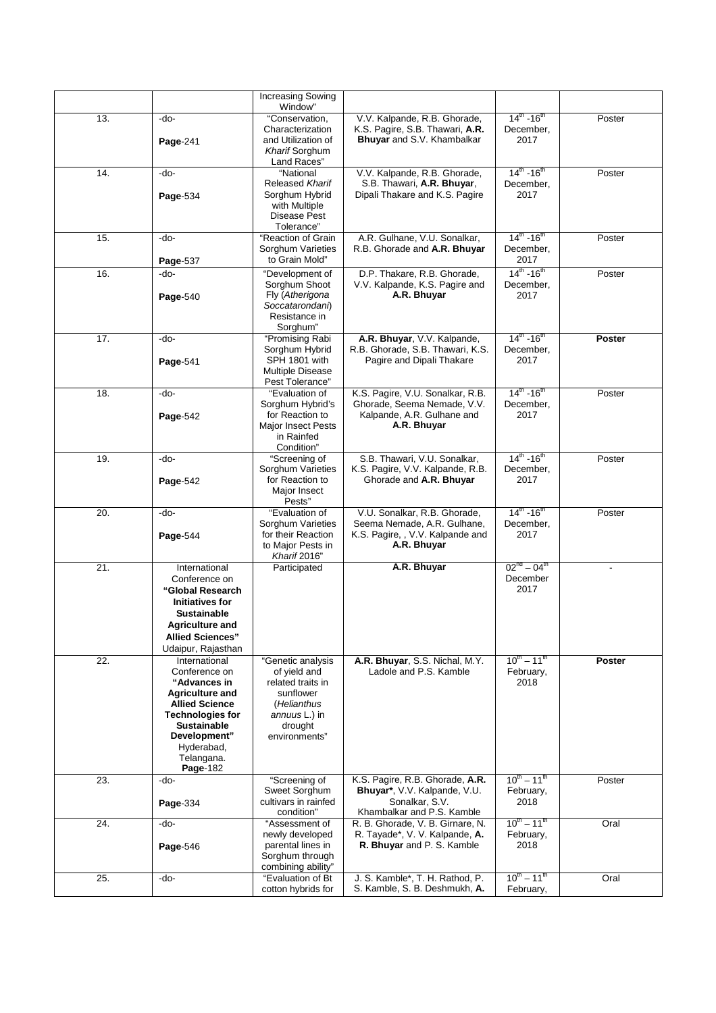|     |                                                                                                                                                                                                            | <b>Increasing Sowing</b><br>Window"                                                                                             |                                                                                                                 |                                                         |                          |
|-----|------------------------------------------------------------------------------------------------------------------------------------------------------------------------------------------------------------|---------------------------------------------------------------------------------------------------------------------------------|-----------------------------------------------------------------------------------------------------------------|---------------------------------------------------------|--------------------------|
| 13. | -do-<br>Page-241                                                                                                                                                                                           | "Conservation,<br>Characterization<br>and Utilization of<br>Kharif Sorghum<br>Land Races"                                       | V.V. Kalpande, R.B. Ghorade,<br>K.S. Pagire, S.B. Thawari, A.R.<br>Bhuyar and S.V. Khambalkar                   | $14^{\text{th}}$ -16 <sup>th</sup><br>December,<br>2017 | Poster                   |
| 14. | -do-<br>Page-534                                                                                                                                                                                           | "National<br>Released Kharif<br>Sorghum Hybrid<br>with Multiple<br>Disease Pest<br>Tolerance"                                   | V.V. Kalpande, R.B. Ghorade,<br>S.B. Thawari, A.R. Bhuyar,<br>Dipali Thakare and K.S. Pagire                    | $14^{\text{th}}$ -16 <sup>th</sup><br>December,<br>2017 | Poster                   |
| 15. | -do-<br>Page-537                                                                                                                                                                                           | "Reaction of Grain<br>Sorghum Varieties<br>to Grain Mold"                                                                       | A.R. Gulhane, V.U. Sonalkar.<br>R.B. Ghorade and A.R. Bhuyar                                                    | $14^{\text{th}}$ -16 <sup>th</sup><br>December,<br>2017 | Poster                   |
| 16. | -do-<br>Page-540                                                                                                                                                                                           | "Development of<br>Sorghum Shoot<br>Fly (Atherigona<br>Soccatarondani)<br>Resistance in<br>Sorghum"                             | D.P. Thakare, R.B. Ghorade,<br>V.V. Kalpande, K.S. Pagire and<br>A.R. Bhuyar                                    | $14^{th}$ -16 <sup>th</sup><br>December,<br>2017        | Poster                   |
| 17. | -do-<br>Page-541                                                                                                                                                                                           | "Promising Rabi<br>Sorghum Hybrid<br>SPH 1801 with<br><b>Multiple Disease</b><br>Pest Tolerance"                                | A.R. Bhuyar, V.V. Kalpande,<br>R.B. Ghorade, S.B. Thawari, K.S.<br>Pagire and Dipali Thakare                    | $14^{\text{th}}$ -16 <sup>th</sup><br>December,<br>2017 | Poster                   |
| 18. | -do-<br>Page-542                                                                                                                                                                                           | "Evaluation of<br>Sorghum Hybrid's<br>for Reaction to<br><b>Major Insect Pests</b><br>in Rainfed<br>Condition"                  | K.S. Pagire, V.U. Sonalkar, R.B.<br>Ghorade, Seema Nemade, V.V.<br>Kalpande, A.R. Gulhane and<br>A.R. Bhuyar    | $14^{\text{th}}$ -16 <sup>th</sup><br>December,<br>2017 | Poster                   |
| 19. | -do-<br>Page-542                                                                                                                                                                                           | "Screening of<br>Sorghum Varieties<br>for Reaction to<br>Major Insect<br>Pests"                                                 | S.B. Thawari, V.U. Sonalkar,<br>K.S. Pagire, V.V. Kalpande, R.B.<br>Ghorade and A.R. Bhuyar                     | $14^{\text{th}} - 16^{\text{th}}$<br>December,<br>2017  | Poster                   |
| 20. | -do-<br>Page-544                                                                                                                                                                                           | "Evaluation of<br>Sorghum Varieties<br>for their Reaction<br>to Major Pests in<br>Kharif 2016"                                  | V.U. Sonalkar, R.B. Ghorade,<br>Seema Nemade, A.R. Gulhane,<br>K.S. Pagire, , V.V. Kalpande and<br>A.R. Bhuyar  | $14^{\text{th}}$ -16 <sup>th</sup><br>December,<br>2017 | Poster                   |
| 21. | International<br>Conference on<br>"Global Research<br><b>Initiatives for</b><br><b>Sustainable</b><br><b>Agriculture and</b><br><b>Allied Sciences"</b><br>Udaipur, Rajasthan                              | Participated                                                                                                                    | A.R. Bhuyar                                                                                                     | $02^{nd} - 04^{th}$<br>December<br>2017                 | $\overline{\phantom{a}}$ |
| 22. | International<br>Conference on<br>"Advances in<br><b>Agriculture and</b><br><b>Allied Science</b><br><b>Technologies for</b><br><b>Sustainable</b><br>Development"<br>Hyderabad,<br>Telangana.<br>Page-182 | "Genetic analysis<br>of yield and<br>related traits in<br>sunflower<br>(Helianthus<br>annuus L.) in<br>drought<br>environments" | A.R. Bhuyar, S.S. Nichal, M.Y.<br>Ladole and P.S. Kamble                                                        | $10^{\text{th}} - 11^{\text{th}}$<br>February,<br>2018  | Poster                   |
| 23. | -do-<br>Page-334                                                                                                                                                                                           | "Screening of<br>Sweet Sorghum<br>cultivars in rainfed<br>condition"                                                            | K.S. Pagire, R.B. Ghorade, A.R.<br>Bhuyar*, V.V. Kalpande, V.U.<br>Sonalkar, S.V.<br>Khambalkar and P.S. Kamble | $10^{th} - 11^{th}$<br>February,<br>2018                | Poster                   |
| 24. | -do-<br>Page-546                                                                                                                                                                                           | "Assessment of<br>newly developed<br>parental lines in<br>Sorghum through<br>combining ability"                                 | R. B. Ghorade, V. B. Girnare, N.<br>R. Tayade*, V. V. Kalpande, A.<br>R. Bhuyar and P. S. Kamble                | $10^{th} - 11^{th}$<br>February,<br>2018                | Oral                     |
| 25. | -do-                                                                                                                                                                                                       | "Evaluation of Bt<br>cotton hybrids for                                                                                         | J. S. Kamble*, T. H. Rathod, P.<br>S. Kamble, S. B. Deshmukh, A.                                                | $10^{\rm m} - 11^{\rm m}$<br>February,                  | Oral                     |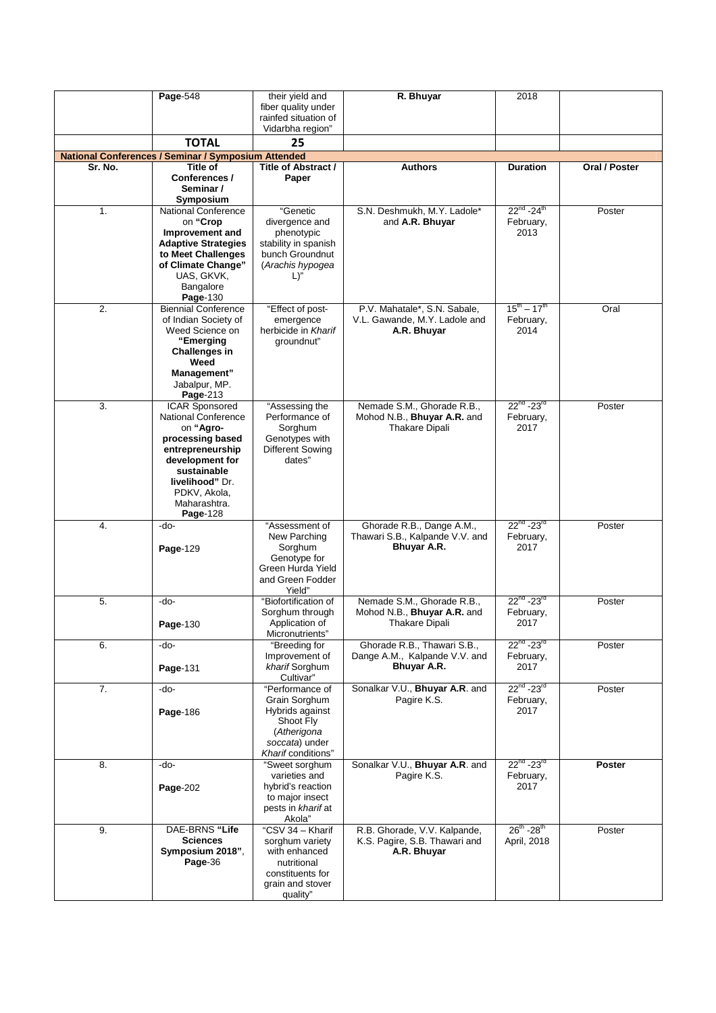|         | Page-548                                            | their yield and                      | R. Bhuyar                                                 | 2018                              |               |
|---------|-----------------------------------------------------|--------------------------------------|-----------------------------------------------------------|-----------------------------------|---------------|
|         |                                                     | fiber quality under                  |                                                           |                                   |               |
|         |                                                     | rainfed situation of                 |                                                           |                                   |               |
|         |                                                     | Vidarbha region"                     |                                                           |                                   |               |
|         | <b>TOTAL</b>                                        | 25                                   |                                                           |                                   |               |
|         | National Conferences / Seminar / Symposium Attended |                                      |                                                           |                                   |               |
| Sr. No. | Title of                                            | Title of Abstract /                  | <b>Authors</b>                                            | <b>Duration</b>                   | Oral / Poster |
|         | Conferences /<br>Seminar /<br>Symposium             | Paper                                |                                                           |                                   |               |
| 1.      | <b>National Conference</b>                          | "Genetic                             | S.N. Deshmukh, M.Y. Ladole*                               | $22^{nd} - 24^{th}$               | Poster        |
|         | on "Crop                                            | divergence and                       | and A.R. Bhuyar                                           | February,                         |               |
|         | Improvement and                                     | phenotypic                           |                                                           | 2013                              |               |
|         | <b>Adaptive Strategies</b>                          | stability in spanish                 |                                                           |                                   |               |
|         | to Meet Challenges                                  | bunch Groundnut                      |                                                           |                                   |               |
|         | of Climate Change"                                  | (Arachis hypogea                     |                                                           |                                   |               |
|         | UAS, GKVK,                                          | L)"                                  |                                                           |                                   |               |
|         | Bangalore                                           |                                      |                                                           |                                   |               |
|         | Page-130                                            |                                      |                                                           |                                   |               |
| 2.      | <b>Biennial Conference</b>                          | "Effect of post-                     | P.V. Mahatale*, S.N. Sabale,                              | $15^{\text{th}} - 17^{\text{th}}$ | Oral          |
|         | of Indian Society of<br>Weed Science on             | emergence<br>herbicide in Kharif     | V.L. Gawande, M.Y. Ladole and<br>A.R. Bhuyar              | February,<br>2014                 |               |
|         | "Emerging                                           | groundnut"                           |                                                           |                                   |               |
|         | Challenges in                                       |                                      |                                                           |                                   |               |
|         | Weed                                                |                                      |                                                           |                                   |               |
|         | Management"                                         |                                      |                                                           |                                   |               |
|         | Jabalpur, MP.                                       |                                      |                                                           |                                   |               |
|         | Page-213                                            |                                      |                                                           |                                   |               |
| 3.      | <b>ICAR Sponsored</b><br><b>National Conference</b> | "Assessing the<br>Performance of     | Nemade S.M., Ghorade R.B.,<br>Mohod N.B., Bhuyar A.R. and | $22^{nd} - 23^{rd}$<br>February,  | Poster        |
|         | on "Agro-                                           | Sorghum                              | <b>Thakare Dipali</b>                                     | 2017                              |               |
|         | processing based                                    | Genotypes with                       |                                                           |                                   |               |
|         | entrepreneurship                                    | Different Sowing                     |                                                           |                                   |               |
|         | development for                                     | dates"                               |                                                           |                                   |               |
|         | sustainable                                         |                                      |                                                           |                                   |               |
|         | livelihood" Dr.<br>PDKV, Akola,                     |                                      |                                                           |                                   |               |
|         | Maharashtra.                                        |                                      |                                                           |                                   |               |
|         | Page-128                                            |                                      |                                                           |                                   |               |
| 4.      | -do-                                                | "Assessment of                       | Ghorade R.B., Dange A.M.,                                 | $22^{nd} - 23^{rd}$               | Poster        |
|         |                                                     | New Parching                         | Thawari S.B., Kalpande V.V. and                           | February,                         |               |
|         | Page-129                                            | Sorghum                              | Bhuyar A.R.                                               | 2017                              |               |
|         |                                                     | Genotype for<br>Green Hurda Yield    |                                                           |                                   |               |
|         |                                                     | and Green Fodder                     |                                                           |                                   |               |
|         |                                                     | Yield"                               |                                                           |                                   |               |
| 5.      | -do-                                                | "Biofortification of                 | Nemade S.M., Ghorade R.B.,                                | $22^{nd}$ -23 <sup>rd</sup>       | Poster        |
|         |                                                     | Sorghum through                      | Mohod N.B., Bhuyar A.R. and                               | February,                         |               |
|         | Page-130                                            | Application of                       | <b>Thakare Dipali</b>                                     | 2017                              |               |
| 6.      | -do-                                                | Micronutrients"<br>"Breeding for     | Ghorade R.B., Thawari S.B.,                               | $22^{nd} - 23^{rd}$               | Poster        |
|         |                                                     | Improvement of                       | Dange A.M., Kalpande V.V. and                             | February,                         |               |
|         | Page-131                                            | kharif Sorghum                       | Bhuyar A.R.                                               | 2017                              |               |
|         |                                                     | Cultivar"                            |                                                           |                                   |               |
| 7.      | -do-                                                | "Performance of                      | Sonalkar V.U., Bhuyar A.R. and                            | $22^{nd} - 23^{rd}$               | Poster        |
|         |                                                     | Grain Sorghum                        | Pagire K.S.                                               | February,                         |               |
|         | Page-186                                            | Hybrids against                      |                                                           | 2017                              |               |
|         |                                                     | Shoot Fly<br>(Atherigona             |                                                           |                                   |               |
|         |                                                     | soccata) under                       |                                                           |                                   |               |
|         |                                                     | Kharif conditions"                   |                                                           |                                   |               |
| 8.      | -do-                                                | "Sweet sorghum                       | Sonalkar V.U., Bhuyar A.R. and                            | $22^{nd} - 23^{rd}$               | Poster        |
|         |                                                     | varieties and                        | Pagire K.S.                                               | February,                         |               |
|         | Page-202                                            | hybrid's reaction<br>to major insect |                                                           | 2017                              |               |
|         |                                                     | pests in kharif at                   |                                                           |                                   |               |
|         |                                                     | Akola"                               |                                                           |                                   |               |
| 9.      | DAE-BRNS "Life                                      | "CSV 34 - Kharif                     | R.B. Ghorade, V.V. Kalpande,                              | $26^{th}$ -28 <sup>th</sup>       | Poster        |
|         | <b>Sciences</b>                                     | sorghum variety                      | K.S. Pagire, S.B. Thawari and                             | April, 2018                       |               |
|         | Symposium 2018",                                    | with enhanced                        | A.R. Bhuyar                                               |                                   |               |
|         | Page-36                                             | nutritional                          |                                                           |                                   |               |
|         |                                                     | constituents for<br>grain and stover |                                                           |                                   |               |
|         |                                                     | quality"                             |                                                           |                                   |               |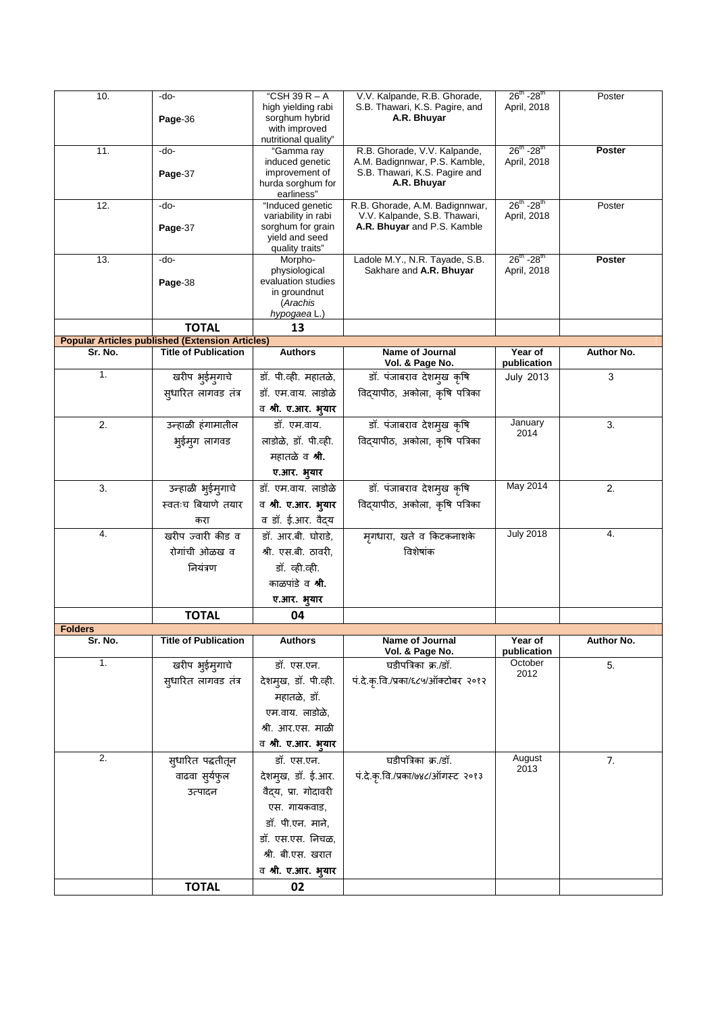| 10.            | -do-<br>Page-36                                        |                                                                                 | V.V. Kalpande, R.B. Ghorade,<br>S.B. Thawari, K.S. Pagire, and<br>A.R. Bhuyar | $26^{th}$ -28 <sup>th</sup><br>April, 2018 | Poster        |
|----------------|--------------------------------------------------------|---------------------------------------------------------------------------------|-------------------------------------------------------------------------------|--------------------------------------------|---------------|
| 11.            | -do-                                                   | nutritional quality"<br>"Gamma ray<br>induced genetic                           | R.B. Ghorade, V.V. Kalpande,<br>A.M. Badignnwar, P.S. Kamble,                 | $26^{th}$ -28 <sup>th</sup><br>April, 2018 | Poster        |
|                | Page-37                                                | improvement of<br>hurda sorghum for<br>earliness"                               | S.B. Thawari, K.S. Pagire and<br>A.R. Bhuyar                                  |                                            |               |
| 12.            | -do-                                                   | "Induced genetic                                                                | R.B. Ghorade, A.M. Badignnwar,                                                | $26^{th}$ -28 <sup>th</sup>                | Poster        |
|                | Page-37                                                | variability in rabi<br>sorghum for grain<br>yield and seed<br>quality traits"   | V.V. Kalpande, S.B. Thawari,<br>A.R. Bhuyar and P.S. Kamble                   | April, 2018                                |               |
| 13.            | -do-                                                   | Morpho-                                                                         | Ladole M.Y., N.R. Tayade, S.B.                                                | $26^{th}$ -28 <sup>th</sup>                | <b>Poster</b> |
|                | Page-38                                                | physiological<br>evaluation studies<br>in groundnut<br>(Arachis<br>hypogaea L.) | Sakhare and A.R. Bhuyar                                                       | April, 2018                                |               |
|                | <b>TOTAL</b>                                           | 13                                                                              |                                                                               |                                            |               |
|                | <b>Popular Articles published (Extension Articles)</b> |                                                                                 |                                                                               |                                            |               |
| Sr. No.        | <b>Title of Publication</b>                            | <b>Authors</b>                                                                  | Name of Journal                                                               | Year of<br>publication                     | Author No.    |
| 1.             | खरीप भुईमुगाचे                                         | डॉ. पी.व्ही. महातळे,                                                            | Vol. & Page No.<br>डॉ. पंजाबराव देशमुख कृषि                                   | <b>July 2013</b>                           | 3             |
|                | सुधारित लागवड तंत्र                                    | डॉ. एम.वाय. लाडोळे                                                              | विद्यापीठ, अकोला, कृषि पत्रिका                                                |                                            |               |
|                |                                                        | व श्री. ए.आर. भ्यार                                                             |                                                                               |                                            |               |
| 2.             | उन्हाळी हंगामातील                                      | डॉ. एम.वाय.                                                                     | डॉ. पंजाबराव देशमुख कृषि                                                      | January                                    | 3.            |
|                | भूईम्ग लागवड                                           | लाडोळे, डॉ. पी.व्ही.                                                            | विद्यापीठ, अकोला, कृषि पत्रिका                                                | 2014                                       |               |
|                |                                                        | महातळे व <b>श्री</b> .                                                          |                                                                               |                                            |               |
|                |                                                        | ए.आर. भूयार                                                                     |                                                                               |                                            |               |
| 3.             | उन्हाळी भुईम्गाचे                                      | डॉ. एम.वाय. लाडोळे                                                              | डॉ. पंजाबराव देशमुख कृषि                                                      | May 2014                                   | 2.            |
|                | स्वतःच बियाणे तयार                                     | व श्री. ए.आर. भुयार                                                             | विद्यापीठ, अकोला, कृषि पत्रिका                                                |                                            |               |
|                | करा                                                    | व डॉ. ई.आर. वैद्य                                                               |                                                                               |                                            |               |
| 4.             | खरीप ज्वारी कीड व                                      | डॉ. आर.बी. घोराडे,                                                              | मृगधारा, खते व किटकनाशके                                                      | <b>July 2018</b>                           | 4.            |
|                | रोगांची ओळख व                                          | श्री. एस.बी. ठावरी,                                                             | विशेषांक                                                                      |                                            |               |
|                | नियंत्रण                                               | डॉ. व्ही.व्ही.                                                                  |                                                                               |                                            |               |
|                |                                                        | काळपांडे व <b>श्री</b> .                                                        |                                                                               |                                            |               |
|                |                                                        | ए.आर. भुयार                                                                     |                                                                               |                                            |               |
|                | <b>TOTAL</b>                                           | 04                                                                              |                                                                               |                                            |               |
| <b>Folders</b> |                                                        |                                                                                 |                                                                               |                                            |               |
| Sr. No.<br>1.  | <b>Title of Publication</b>                            | <b>Authors</b>                                                                  | <b>Name of Journal</b><br>Vol. & Page No.                                     | Year of<br>publication                     | Author No.    |
|                | खरीप भुईमुगाचे                                         | डॉ. एस.एन.<br>देशम्ख, डॉ. पी.व्ही.                                              | घडीपत्रिका क्र./डॉ.<br>पं.दे.कृ.वि./प्रका/६८५/ऑक्टोबर २०१२                    | October<br>2012                            | 5.            |
|                | सुधारित लागवड तंत्र                                    |                                                                                 |                                                                               |                                            |               |
|                |                                                        | महातळे, डॉ.<br>एम.वाय. लाडोळे,                                                  |                                                                               |                                            |               |
|                |                                                        | श्री. आर.एस. माळी                                                               |                                                                               |                                            |               |
|                |                                                        | व श्री. ए.आर. भुयार                                                             |                                                                               |                                            |               |
| 2.             | स्धारित पद्धतीतून                                      | डॉ. एस.एन.                                                                      | घडीपत्रिका क्र./डॉ.                                                           | August                                     | 7.            |
|                | वाढवा सुर्यफुल                                         | देशमुख, डॉ. ई.आर.                                                               | पं.दे.कृ.वि./प्रका/७४८/ऑगस्ट २०१३                                             | 2013                                       |               |
|                | उत्पादन                                                | वैद्य, प्रा. गोदावरी                                                            |                                                                               |                                            |               |
|                |                                                        | एस. गायकवाड,                                                                    |                                                                               |                                            |               |
|                |                                                        | डॉ. पी.एन. माने,                                                                |                                                                               |                                            |               |
|                |                                                        | डॉ. एस.एस. निचळ,                                                                |                                                                               |                                            |               |
|                |                                                        | श्री. बी.एस. खरात                                                               |                                                                               |                                            |               |
|                |                                                        | व श्री. ए.आर. भुयार                                                             |                                                                               |                                            |               |
|                | <b>TOTAL</b>                                           | 02                                                                              |                                                                               |                                            |               |
|                |                                                        |                                                                                 |                                                                               |                                            |               |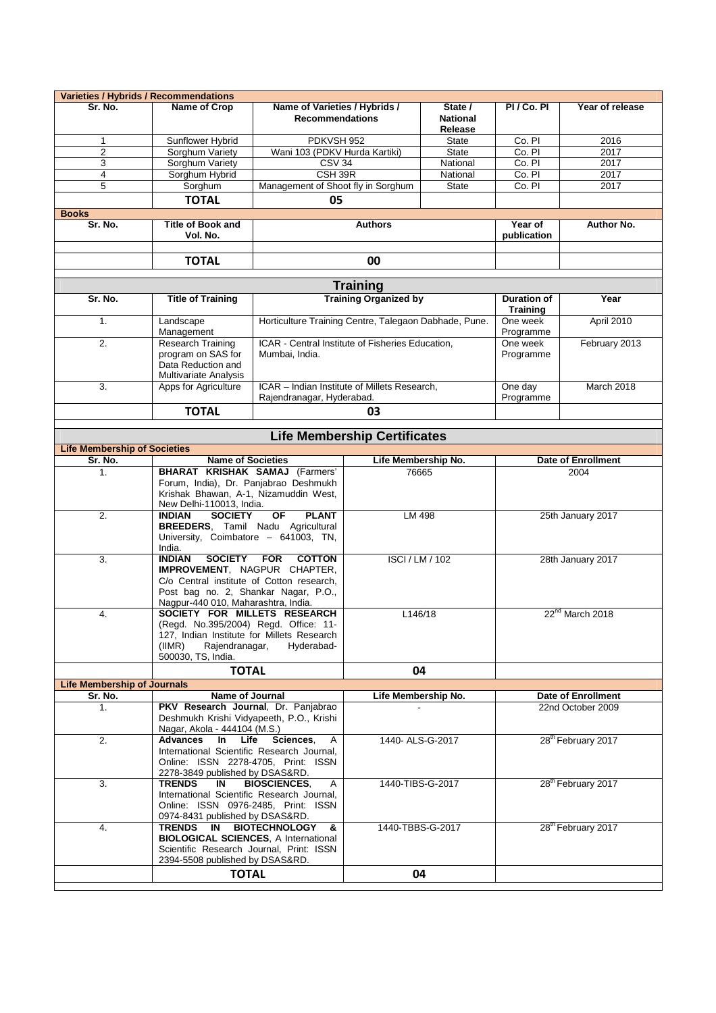|                                                | <b>Varieties / Hybrids / Recommendations</b>                                                                                                                                        |                                                                                                                                                                                            |                                                 |                                                    |                                |                                |  |
|------------------------------------------------|-------------------------------------------------------------------------------------------------------------------------------------------------------------------------------------|--------------------------------------------------------------------------------------------------------------------------------------------------------------------------------------------|-------------------------------------------------|----------------------------------------------------|--------------------------------|--------------------------------|--|
| Sr. No.                                        | Name of Crop                                                                                                                                                                        | Name of Varieties / Hybrids /<br><b>Recommendations</b>                                                                                                                                    |                                                 | State /<br><b>National</b>                         | PI / Co. PI                    | Year of release                |  |
|                                                |                                                                                                                                                                                     | PDKVSH 952                                                                                                                                                                                 |                                                 | Release                                            | Co. PI                         | 2016                           |  |
| 1<br>$\overline{\mathbf{c}}$                   | Sunflower Hybrid<br>Sorghum Variety                                                                                                                                                 | Wani 103 (PDKV Hurda Kartiki)                                                                                                                                                              |                                                 | <b>State</b><br><b>State</b>                       | Co. PI                         | 2017                           |  |
| 3                                              | Sorghum Variety                                                                                                                                                                     | CSV <sub>34</sub>                                                                                                                                                                          |                                                 | National                                           | Co. PI                         | 2017                           |  |
| 4                                              | Sorghum Hybrid                                                                                                                                                                      | CSH 39R                                                                                                                                                                                    |                                                 | National                                           | Co. PI                         | 2017                           |  |
| 5                                              | Sorghum                                                                                                                                                                             | Management of Shoot fly in Sorghum                                                                                                                                                         |                                                 | <b>State</b>                                       | Co. PI                         | 2017                           |  |
|                                                |                                                                                                                                                                                     | 05                                                                                                                                                                                         |                                                 |                                                    |                                |                                |  |
|                                                | <b>TOTAL</b>                                                                                                                                                                        |                                                                                                                                                                                            |                                                 |                                                    |                                |                                |  |
| <b>Books</b><br>Sr. No.                        | <b>Title of Book and</b><br>Vol. No.                                                                                                                                                |                                                                                                                                                                                            | <b>Authors</b>                                  |                                                    | Year of<br>publication         | <b>Author No.</b>              |  |
|                                                | <b>TOTAL</b>                                                                                                                                                                        | 00                                                                                                                                                                                         |                                                 |                                                    |                                |                                |  |
|                                                |                                                                                                                                                                                     |                                                                                                                                                                                            |                                                 |                                                    |                                |                                |  |
| Sr. No.                                        | <b>Title of Training</b>                                                                                                                                                            |                                                                                                                                                                                            | <b>Training</b><br><b>Training Organized by</b> |                                                    | <b>Duration of</b>             | Year                           |  |
| 1.                                             | Landscape                                                                                                                                                                           | Horticulture Training Centre, Talegaon Dabhade, Pune.                                                                                                                                      |                                                 |                                                    | <b>Training</b><br>One week    | April 2010                     |  |
| 2.                                             | Management<br>Research Training                                                                                                                                                     | ICAR - Central Institute of Fisheries Education,                                                                                                                                           |                                                 |                                                    | Programme<br>One week          | February 2013                  |  |
|                                                | program on SAS for<br>Data Reduction and<br>Multivariate Analysis                                                                                                                   | Mumbai, India.                                                                                                                                                                             |                                                 |                                                    |                                |                                |  |
| 3.                                             | Apps for Agriculture                                                                                                                                                                | ICAR - Indian Institute of Millets Research,<br>Rajendranagar, Hyderabad.                                                                                                                  |                                                 |                                                    | One day<br>Programme           | March 2018                     |  |
|                                                | <b>TOTAL</b>                                                                                                                                                                        |                                                                                                                                                                                            | 03                                              |                                                    |                                |                                |  |
|                                                |                                                                                                                                                                                     |                                                                                                                                                                                            | <b>Life Membership Certificates</b>             |                                                    |                                |                                |  |
| <b>Life Membership of Societies</b><br>Sr. No. | <b>Name of Societies</b>                                                                                                                                                            |                                                                                                                                                                                            | Life Membership No.                             |                                                    |                                | <b>Date of Enrollment</b>      |  |
| 1.                                             |                                                                                                                                                                                     |                                                                                                                                                                                            | 76665                                           |                                                    | 2004                           |                                |  |
|                                                | <b>BHARAT KRISHAK SAMAJ (Farmers'</b><br>Forum, India), Dr. Panjabrao Deshmukh<br>Krishak Bhawan, A-1, Nizamuddin West,<br>New Delhi-110013, India.                                 |                                                                                                                                                                                            |                                                 |                                                    |                                |                                |  |
| $\overline{2}$ .                               | <b>INDIAN</b><br>India.                                                                                                                                                             | OF<br><b>PLANT</b><br><b>SOCIETY</b><br><b>BREEDERS, Tamil Nadu Agricultural</b><br>University, Coimbatore - 641003, TN,                                                                   |                                                 | LM 498                                             |                                | 25th January 2017              |  |
| 3.                                             | <b>SOCIETY</b><br><b>FOR</b><br><b>COTTON</b><br><b>INDIAN</b><br>IMPROVEMENT, NAGPUR CHAPTER,<br>C/o Central institute of Cotton research,<br>Post bag no. 2, Shankar Nagar, P.O., |                                                                                                                                                                                            | <b>ISCI/LM/102</b>                              |                                                    |                                | 28th January 2017              |  |
| 4.                                             | (IIMR)<br>500030, TS, India.                                                                                                                                                        | Nagpur-440 010, Maharashtra, India.<br>SOCIETY FOR MILLETS RESEARCH<br>(Regd. No.395/2004) Regd. Office: 11-<br>127, Indian Institute for Millets Research<br>Rajendranagar,<br>Hyderabad- |                                                 | L146/18                                            | 22 <sup>nd</sup> March 2018    |                                |  |
|                                                | <b>TOTAL</b>                                                                                                                                                                        |                                                                                                                                                                                            | 04                                              |                                                    |                                |                                |  |
| <b>Life Membership of Journals</b>             |                                                                                                                                                                                     |                                                                                                                                                                                            |                                                 |                                                    |                                |                                |  |
| Sr. No.                                        | <b>Name of Journal</b>                                                                                                                                                              |                                                                                                                                                                                            | Life Membership No.                             |                                                    |                                | <b>Date of Enrollment</b>      |  |
| 1.                                             | PKV Research Journal, Dr. Panjabrao<br>Deshmukh Krishi Vidyapeeth, P.O., Krishi<br>Nagar, Akola - 444104 (M.S.)                                                                     |                                                                                                                                                                                            |                                                 |                                                    |                                | 22nd October 2009              |  |
| 2.                                             | Advances<br>In Life<br>International Scientific Research Journal,<br>Online: ISSN 2278-4705, Print: ISSN<br>2278-3849 published by DSAS&RD.                                         | Sciences.<br>A                                                                                                                                                                             | 1440- ALS-G-2017                                |                                                    | 28 <sup>th</sup> February 2017 |                                |  |
| 3.                                             | <b>TRENDS</b><br>IN<br>International Scientific Research Journal,<br>Online: ISSN 0976-2485, Print: ISSN<br>0974-8431 published by DSAS&RD.                                         | <b>BIOSCIENCES,</b><br>A                                                                                                                                                                   |                                                 | 28 <sup>th</sup> February 2017<br>1440-TIBS-G-2017 |                                |                                |  |
| 4.                                             | TRENDS<br>IN<br><b>BIOLOGICAL SCIENCES, A International</b><br>Scientific Research Journal, Print: ISSN<br>2394-5508 published by DSAS&RD.                                          | <b>BIOTECHNOLOGY</b><br>&                                                                                                                                                                  | 1440-TBBS-G-2017                                |                                                    |                                | 28 <sup>th</sup> February 2017 |  |
|                                                | <b>TOTAL</b>                                                                                                                                                                        |                                                                                                                                                                                            | 04                                              |                                                    |                                |                                |  |
|                                                |                                                                                                                                                                                     |                                                                                                                                                                                            |                                                 |                                                    |                                |                                |  |